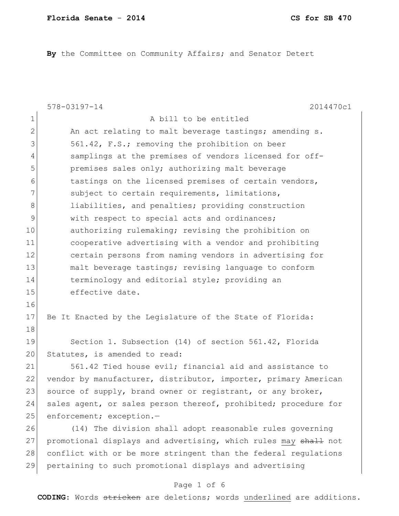**By** the Committee on Community Affairs; and Senator Detert

|                | $578 - 03197 - 14$<br>2014470c1                                 |
|----------------|-----------------------------------------------------------------|
| $\mathbf 1$    | A bill to be entitled                                           |
| $\overline{2}$ | An act relating to malt beverage tastings; amending s.          |
| 3              | 561.42, F.S.; removing the prohibition on beer                  |
| $\overline{4}$ | samplings at the premises of vendors licensed for off-          |
| 5              | premises sales only; authorizing malt beverage                  |
| 6              | tastings on the licensed premises of certain vendors,           |
| $7\phantom{.}$ | subject to certain requirements, limitations,                   |
| $8\,$          | liabilities, and penalties; providing construction              |
| $\mathcal{G}$  | with respect to special acts and ordinances;                    |
| 10             | authorizing rulemaking; revising the prohibition on             |
| 11             | cooperative advertising with a vendor and prohibiting           |
| 12             | certain persons from naming vendors in advertising for          |
| 13             | malt beverage tastings; revising language to conform            |
| 14             | terminology and editorial style; providing an                   |
| 15             | effective date.                                                 |
| 16             |                                                                 |
| 17             | Be It Enacted by the Legislature of the State of Florida:       |
| 18             |                                                                 |
| 19             | Section 1. Subsection (14) of section 561.42, Florida           |
| 20             | Statutes, is amended to read:                                   |
| 21             | 561.42 Tied house evil; financial aid and assistance to         |
| 22             | vendor by manufacturer, distributor, importer, primary American |
| 23             | source of supply, brand owner or registrant, or any broker,     |
| 24             | sales agent, or sales person thereof, prohibited; procedure for |
| 25             | enforcement; exception.-                                        |
| 26             | (14) The division shall adopt reasonable rules governing        |
| 27             | promotional displays and advertising, which rules may shall not |
| 28             | conflict with or be more stringent than the federal regulations |
| 29             | pertaining to such promotional displays and advertising         |
|                |                                                                 |

# Page 1 of 6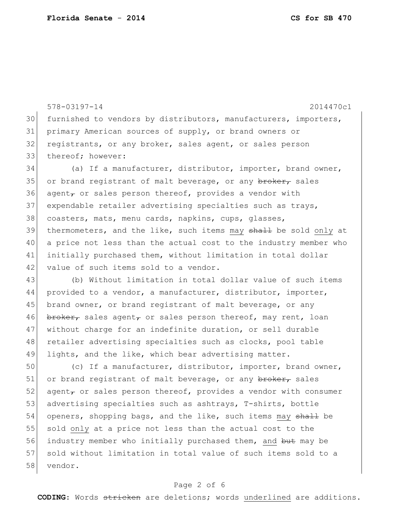578-03197-14 2014470c1 30 furnished to vendors by distributors, manufacturers, importers, 31 primary American sources of supply, or brand owners or 32 registrants, or any broker, sales agent, or sales person 33 thereof; however: 34 (a) If a manufacturer, distributor, importer, brand owner, 35 or brand registrant of malt beverage, or any broker, sales 36 agent $_{\tau}$  or sales person thereof, provides a vendor with 37 expendable retailer advertising specialties such as trays, 38 coasters, mats, menu cards, napkins, cups, glasses, 39 thermometers, and the like, such items may shall be sold only at 40 a price not less than the actual cost to the industry member who 41 initially purchased them, without limitation in total dollar 42 value of such items sold to a vendor. 43 (b) Without limitation in total dollar value of such items

44 provided to a vendor, a manufacturer, distributor, importer, 45 brand owner, or brand registrant of malt beverage, or any 46 broker, sales agent, or sales person thereof, may rent, loan 47 without charge for an indefinite duration, or sell durable 48 retailer advertising specialties such as clocks, pool table 49 lights, and the like, which bear advertising matter.

50 (c) If a manufacturer, distributor, importer, brand owner, 51 or brand registrant of malt beverage, or any broker, sales 52 agent<sub> $\tau$ </sub> or sales person thereof, provides a vendor with consumer 53 advertising specialties such as ashtrays, T-shirts, bottle 54 openers, shopping bags, and the like, such items may shall be 55 sold only at a price not less than the actual cost to the 56 industry member who initially purchased them, and but may be 57 sold without limitation in total value of such items sold to a 58 vendor.

### Page 2 of 6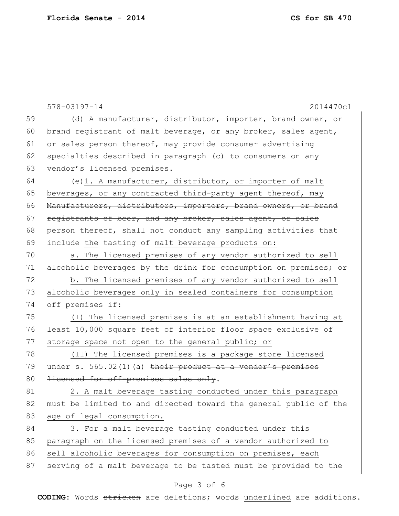578-03197-14 2014470c1 59 (d) A manufacturer, distributor, importer, brand owner, or 60 brand registrant of malt beverage, or any  $\frac{\text{brev}}{\text{cov}}$  sales agent 61 or sales person thereof, may provide consumer advertising 62 specialties described in paragraph (c) to consumers on any 63 vendor's licensed premises. 64 (e)1. A manufacturer, distributor, or importer of malt 65 beverages, or any contracted third-party agent thereof, may 66 Manufacturers, distributors, importers, brand owners, or brand 67 registrants of beer, and any broker, sales agent, or sales 68 person thereof, shall not conduct any sampling activities that 69 include the tasting of malt beverage products on: 70 a. The licensed premises of any vendor authorized to sell 71 alcoholic beverages by the drink for consumption on premises; or 72 b. The licensed premises of any vendor authorized to sell 73 alcoholic beverages only in sealed containers for consumption 74 off premises if: 75 (I) The licensed premises is at an establishment having at 76 least 10,000 square feet of interior floor space exclusive of 77 storage space not open to the general public; or 78 (II) The licensed premises is a package store licensed 79 under s. 565.02(1)(a) their product at a vendor's premises 80 <del>licensed for off-premises sales only</del>. 81 2. A malt beverage tasting conducted under this paragraph 82 must be limited to and directed toward the general public of the 83 age of legal consumption. 84 3. For a malt beverage tasting conducted under this 85 paragraph on the licensed premises of a vendor authorized to 86 sell alcoholic beverages for consumption on premises, each

## 87 serving of a malt beverage to be tasted must be provided to the

### Page 3 of 6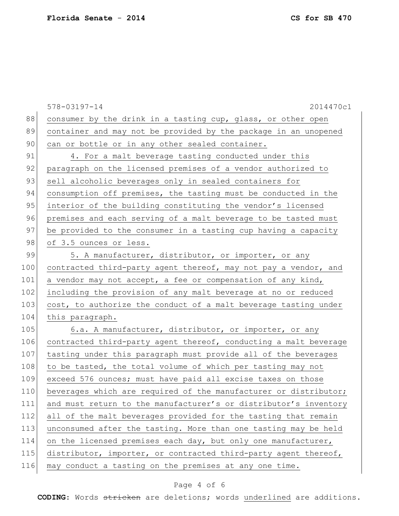|     | 2014470c1<br>$578 - 03197 - 14$                                  |
|-----|------------------------------------------------------------------|
| 88  | consumer by the drink in a tasting cup, glass, or other open     |
| 89  | container and may not be provided by the package in an unopened  |
| 90  | can or bottle or in any other sealed container.                  |
| 91  | 4. For a malt beverage tasting conducted under this              |
| 92  | paragraph on the licensed premises of a vendor authorized to     |
| 93  | sell alcoholic beverages only in sealed containers for           |
| 94  | consumption off premises, the tasting must be conducted in the   |
| 95  | interior of the building constituting the vendor's licensed      |
| 96  | premises and each serving of a malt beverage to be tasted must   |
| 97  | be provided to the consumer in a tasting cup having a capacity   |
| 98  | of 3.5 ounces or less.                                           |
| 99  | 5. A manufacturer, distributor, or importer, or any              |
| 100 | contracted third-party agent thereof, may not pay a vendor, and  |
| 101 | a vendor may not accept, a fee or compensation of any kind,      |
| 102 | including the provision of any malt beverage at no or reduced    |
| 103 | cost, to authorize the conduct of a malt beverage tasting under  |
| 104 | this paragraph.                                                  |
| 105 | 6.a. A manufacturer, distributor, or importer, or any            |
| 106 | contracted third-party agent thereof, conducting a malt beverage |
| 107 | tasting under this paragraph must provide all of the beverages   |
| 108 | to be tasted, the total volume of which per tasting may not      |
| 109 | exceed 576 ounces; must have paid all excise taxes on those      |
| 110 | beverages which are required of the manufacturer or distributor; |
| 111 | and must return to the manufacturer's or distributor's inventory |
| 112 | all of the malt beverages provided for the tasting that remain   |
| 113 | unconsumed after the tasting. More than one tasting may be held  |
| 114 | on the licensed premises each day, but only one manufacturer,    |
| 115 | distributor, importer, or contracted third-party agent thereof,  |
| 116 | may conduct a tasting on the premises at any one time.           |

# Page 4 of 6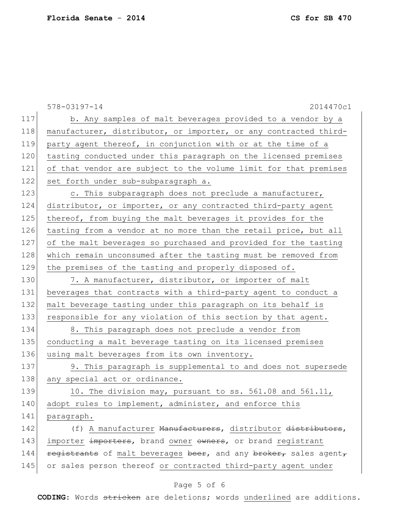578-03197-14 2014470c1 117 b. Any samples of malt beverages provided to a vendor by a 118 manufacturer, distributor, or importer, or any contracted third-119 party agent thereof, in conjunction with or at the time of a 120 tasting conducted under this paragraph on the licensed premises 121 of that vendor are subject to the volume limit for that premises 122 set forth under sub-subparagraph a. 123 c. This subparagraph does not preclude a manufacturer, 124 distributor, or importer, or any contracted third-party agent 125 thereof, from buying the malt beverages it provides for the 126 tasting from a vendor at no more than the retail price, but all 127 of the malt beverages so purchased and provided for the tasting 128 which remain unconsumed after the tasting must be removed from 129 the premises of the tasting and properly disposed of. 130 7. A manufacturer, distributor, or importer of malt 131 beverages that contracts with a third-party agent to conduct a 132 malt beverage tasting under this paragraph on its behalf is 133 responsible for any violation of this section by that agent. 134 8. This paragraph does not preclude a vendor from 135 conducting a malt beverage tasting on its licensed premises 136 using malt beverages from its own inventory. 137 9. This paragraph is supplemental to and does not supersede 138 any special act or ordinance. 139 10. The division may, pursuant to ss. 561.08 and 561.11, 140 adopt rules to implement, administer, and enforce this 141 paragraph. 142 (f) A manufacturer <del>Manufacturers</del>, distributor <del>distributors</del>, 143 importer importers, brand owner owners, or brand registrant 144 registrants of malt beverages beer, and any broker, sales agent, 145 or sales person thereof or contracted third-party agent under

### Page 5 of 6